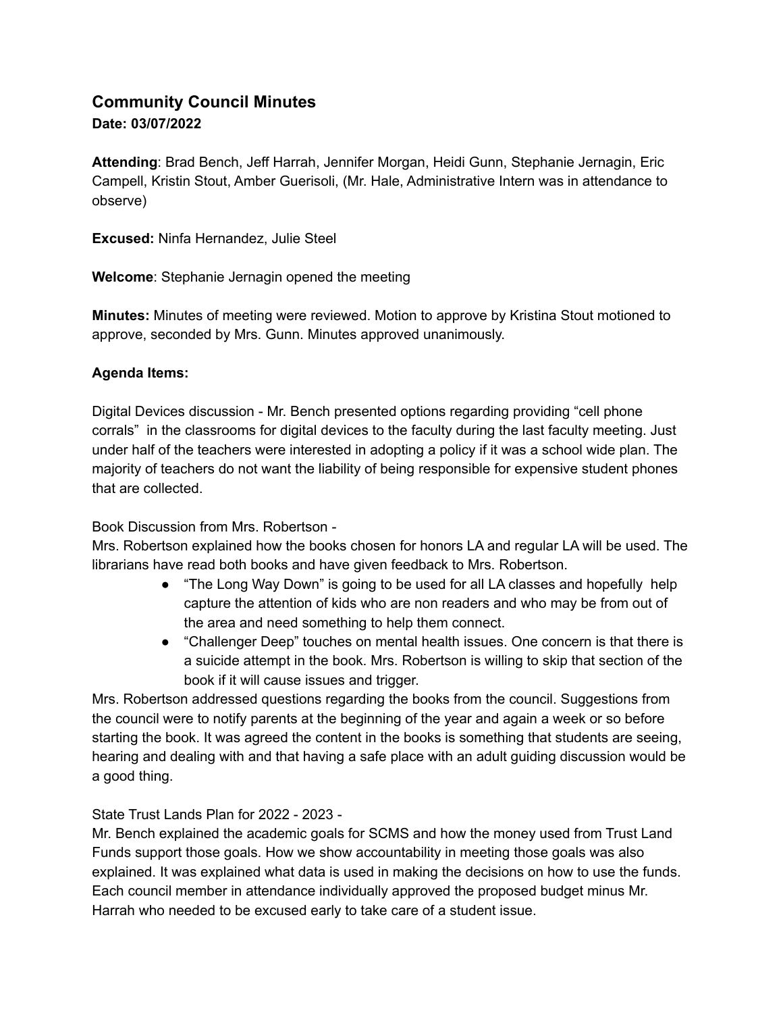## **Community Council Minutes Date: 03/07/2022**

**Attending**: Brad Bench, Jeff Harrah, Jennifer Morgan, Heidi Gunn, Stephanie Jernagin, Eric Campell, Kristin Stout, Amber Guerisoli, (Mr. Hale, Administrative Intern was in attendance to observe)

**Excused:** Ninfa Hernandez, Julie Steel

**Welcome**: Stephanie Jernagin opened the meeting

**Minutes:** Minutes of meeting were reviewed. Motion to approve by Kristina Stout motioned to approve, seconded by Mrs. Gunn. Minutes approved unanimously.

## **Agenda Items:**

Digital Devices discussion - Mr. Bench presented options regarding providing "cell phone corrals" in the classrooms for digital devices to the faculty during the last faculty meeting. Just under half of the teachers were interested in adopting a policy if it was a school wide plan. The majority of teachers do not want the liability of being responsible for expensive student phones that are collected.

## Book Discussion from Mrs. Robertson -

Mrs. Robertson explained how the books chosen for honors LA and regular LA will be used. The librarians have read both books and have given feedback to Mrs. Robertson.

- "The Long Way Down" is going to be used for all LA classes and hopefully help capture the attention of kids who are non readers and who may be from out of the area and need something to help them connect.
- "Challenger Deep" touches on mental health issues. One concern is that there is a suicide attempt in the book. Mrs. Robertson is willing to skip that section of the book if it will cause issues and trigger.

Mrs. Robertson addressed questions regarding the books from the council. Suggestions from the council were to notify parents at the beginning of the year and again a week or so before starting the book. It was agreed the content in the books is something that students are seeing, hearing and dealing with and that having a safe place with an adult guiding discussion would be a good thing.

## State Trust Lands Plan for 2022 - 2023 -

Mr. Bench explained the academic goals for SCMS and how the money used from Trust Land Funds support those goals. How we show accountability in meeting those goals was also explained. It was explained what data is used in making the decisions on how to use the funds. Each council member in attendance individually approved the proposed budget minus Mr. Harrah who needed to be excused early to take care of a student issue.